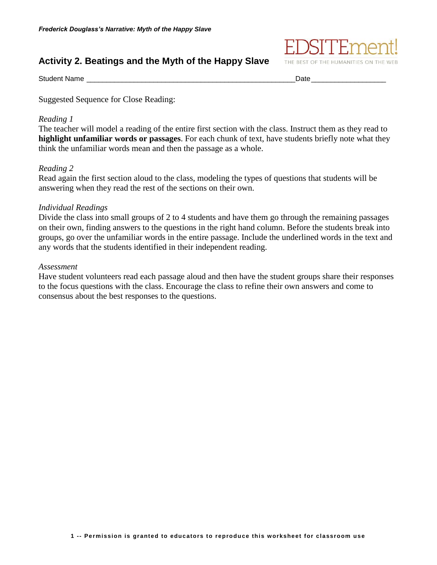# **Activity 2. Beatings and the Myth of the Happy Slave**



Student Name \_\_\_\_\_\_\_\_\_\_\_\_\_\_\_\_\_\_\_\_\_\_\_\_\_\_\_\_\_\_\_\_\_\_\_\_\_\_\_\_\_\_\_\_\_\_\_\_\_\_\_\_\_Date\_\_\_\_\_\_\_\_\_\_\_\_\_\_\_\_\_\_\_

Suggested Sequence for Close Reading:

## *Reading 1*

The teacher will model a reading of the entire first section with the class. Instruct them as they read to **highlight unfamiliar words or passages**. For each chunk of text, have students briefly note what they think the unfamiliar words mean and then the passage as a whole.

## *Reading 2*

Read again the first section aloud to the class, modeling the types of questions that students will be answering when they read the rest of the sections on their own.

## *Individual Readings*

Divide the class into small groups of 2 to 4 students and have them go through the remaining passages on their own, finding answers to the questions in the right hand column. Before the students break into groups, go over the unfamiliar words in the entire passage. Include the underlined words in the text and any words that the students identified in their independent reading.

### *Assessment*

Have student volunteers read each passage aloud and then have the student groups share their responses to the focus questions with the class. Encourage the class to refine their own answers and come to consensus about the best responses to the questions.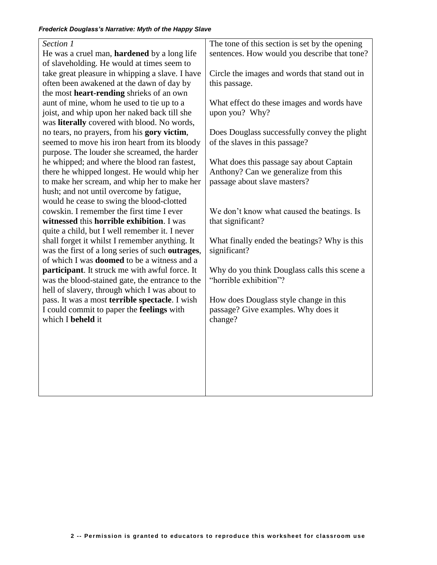| Section 1                                          | The tone of this section is set by the opening |
|----------------------------------------------------|------------------------------------------------|
| He was a cruel man, <b>hardened</b> by a long life | sentences. How would you describe that tone?   |
| of slaveholding. He would at times seem to         |                                                |
| take great pleasure in whipping a slave. I have    | Circle the images and words that stand out in  |
| often been awakened at the dawn of day by          | this passage.                                  |
| the most heart-rending shrieks of an own           |                                                |
| aunt of mine, whom he used to tie up to a          | What effect do these images and words have     |
| joist, and whip upon her naked back till she       | upon you? Why?                                 |
| was literally covered with blood. No words,        |                                                |
| no tears, no prayers, from his gory victim,        | Does Douglass successfully convey the plight   |
| seemed to move his iron heart from its bloody      | of the slaves in this passage?                 |
| purpose. The louder she screamed, the harder       |                                                |
| he whipped; and where the blood ran fastest,       | What does this passage say about Captain       |
| there he whipped longest. He would whip her        | Anthony? Can we generalize from this           |
| to make her scream, and whip her to make her       | passage about slave masters?                   |
| hush; and not until overcome by fatigue,           |                                                |
| would he cease to swing the blood-clotted          |                                                |
| cowskin. I remember the first time I ever          | We don't know what caused the beatings. Is     |
| witnessed this horrible exhibition. I was          | that significant?                              |
| quite a child, but I well remember it. I never     |                                                |
| shall forget it whilst I remember anything. It     | What finally ended the beatings? Why is this   |
| was the first of a long series of such outrages,   | significant?                                   |
| of which I was <b>doomed</b> to be a witness and a |                                                |
| participant. It struck me with awful force. It     | Why do you think Douglass calls this scene a   |
| was the blood-stained gate, the entrance to the    | "horrible exhibition"?                         |
| hell of slavery, through which I was about to      |                                                |
| pass. It was a most terrible spectacle. I wish     | How does Douglass style change in this         |
| I could commit to paper the feelings with          | passage? Give examples. Why does it            |
| which I beheld it                                  | change?                                        |
|                                                    |                                                |
|                                                    |                                                |
|                                                    |                                                |
|                                                    |                                                |
|                                                    |                                                |
|                                                    |                                                |
|                                                    |                                                |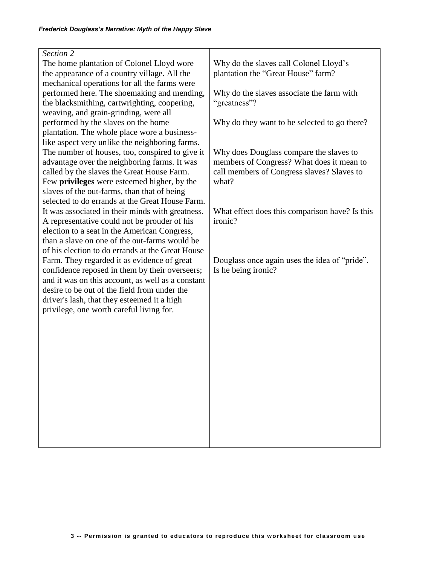| Section 2                                                                                         |                                                |
|---------------------------------------------------------------------------------------------------|------------------------------------------------|
| The home plantation of Colonel Lloyd wore                                                         | Why do the slaves call Colonel Lloyd's         |
| the appearance of a country village. All the                                                      | plantation the "Great House" farm?             |
| mechanical operations for all the farms were                                                      |                                                |
| performed here. The shoemaking and mending,                                                       | Why do the slaves associate the farm with      |
| the blacksmithing, cartwrighting, coopering,                                                      | "greatness"?                                   |
| weaving, and grain-grinding, were all                                                             |                                                |
| performed by the slaves on the home                                                               | Why do they want to be selected to go there?   |
| plantation. The whole place wore a business-                                                      |                                                |
| like aspect very unlike the neighboring farms.                                                    |                                                |
| The number of houses, too, conspired to give it                                                   | Why does Douglass compare the slaves to        |
| advantage over the neighboring farms. It was                                                      | members of Congress? What does it mean to      |
| called by the slaves the Great House Farm.                                                        | call members of Congress slaves? Slaves to     |
| Few privileges were esteemed higher, by the                                                       | what?                                          |
| slaves of the out-farms, than that of being                                                       |                                                |
| selected to do errands at the Great House Farm.                                                   |                                                |
| It was associated in their minds with greatness.                                                  | What effect does this comparison have? Is this |
| A representative could not be prouder of his                                                      | ironic?                                        |
| election to a seat in the American Congress,                                                      |                                                |
| than a slave on one of the out-farms would be                                                     |                                                |
| of his election to do errands at the Great House                                                  |                                                |
| Farm. They regarded it as evidence of great                                                       | Douglass once again uses the idea of "pride".  |
| confidence reposed in them by their overseers;                                                    | Is he being ironic?                            |
| and it was on this account, as well as a constant<br>desire to be out of the field from under the |                                                |
|                                                                                                   |                                                |
| driver's lash, that they esteemed it a high                                                       |                                                |
| privilege, one worth careful living for.                                                          |                                                |
|                                                                                                   |                                                |
|                                                                                                   |                                                |
|                                                                                                   |                                                |
|                                                                                                   |                                                |
|                                                                                                   |                                                |
|                                                                                                   |                                                |
|                                                                                                   |                                                |
|                                                                                                   |                                                |
|                                                                                                   |                                                |
|                                                                                                   |                                                |
|                                                                                                   |                                                |
|                                                                                                   |                                                |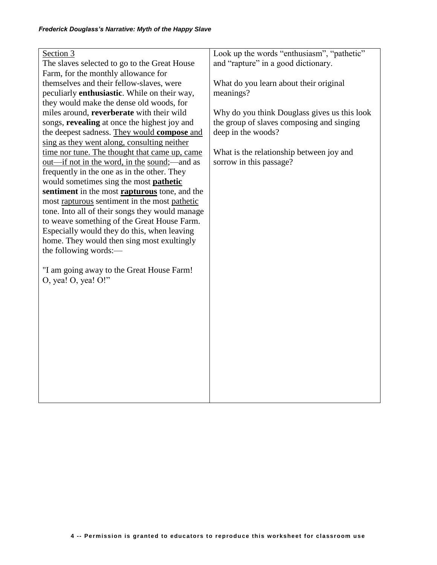| Section 3                                            | Look up the words "enthusiasm", "pathetic"   |
|------------------------------------------------------|----------------------------------------------|
| The slaves selected to go to the Great House         | and "rapture" in a good dictionary.          |
| Farm, for the monthly allowance for                  |                                              |
| themselves and their fellow-slaves, were             | What do you learn about their original       |
| peculiarly <b>enthusiastic</b> . While on their way, | meanings?                                    |
| they would make the dense old woods, for             |                                              |
| miles around, reverberate with their wild            | Why do you think Douglass gives us this look |
| songs, revealing at once the highest joy and         | the group of slaves composing and singing    |
| the deepest sadness. They would compose and          | deep in the woods?                           |
| sing as they went along, consulting neither          |                                              |
| time nor tune. The thought that came up, came        | What is the relationship between joy and     |
| <u>out—if not in the word, in the sound</u> ;—and as | sorrow in this passage?                      |
| frequently in the one as in the other. They          |                                              |
| would sometimes sing the most <b>pathetic</b>        |                                              |
| sentiment in the most <b>rapturous</b> tone, and the |                                              |
| most rapturous sentiment in the most pathetic        |                                              |
| tone. Into all of their songs they would manage      |                                              |
| to weave something of the Great House Farm.          |                                              |
| Especially would they do this, when leaving          |                                              |
| home. They would then sing most exultingly           |                                              |
| the following words:-                                |                                              |
|                                                      |                                              |
| "I am going away to the Great House Farm!            |                                              |
| $O$ , yea! $O$ , yea! $O$ !"                         |                                              |
|                                                      |                                              |
|                                                      |                                              |
|                                                      |                                              |
|                                                      |                                              |
|                                                      |                                              |
|                                                      |                                              |
|                                                      |                                              |
|                                                      |                                              |
|                                                      |                                              |
|                                                      |                                              |
|                                                      |                                              |
|                                                      |                                              |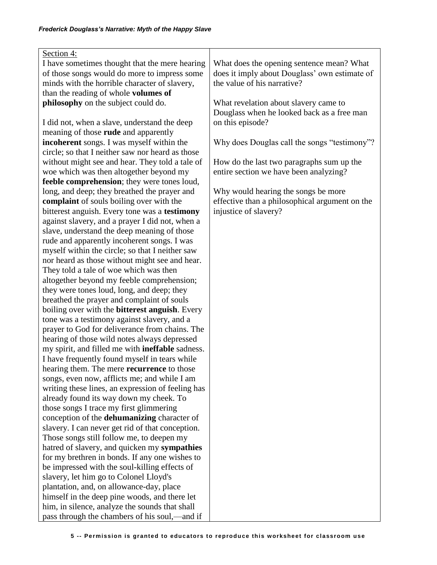| Section 4:                                              |                                                |
|---------------------------------------------------------|------------------------------------------------|
|                                                         |                                                |
| I have sometimes thought that the mere hearing          | What does the opening sentence mean? What      |
| of those songs would do more to impress some            | does it imply about Douglass' own estimate of  |
| minds with the horrible character of slavery,           | the value of his narrative?                    |
| than the reading of whole volumes of                    |                                                |
| philosophy on the subject could do.                     | What revelation about slavery came to          |
|                                                         | Douglass when he looked back as a free man     |
| I did not, when a slave, understand the deep            | on this episode?                               |
| meaning of those <b>rude</b> and apparently             |                                                |
| incoherent songs. I was myself within the               | Why does Douglas call the songs "testimony"?   |
| circle; so that I neither saw nor heard as those        |                                                |
| without might see and hear. They told a tale of         | How do the last two paragraphs sum up the      |
| woe which was then altogether beyond my                 | entire section we have been analyzing?         |
|                                                         |                                                |
| feeble comprehension; they were tones loud,             |                                                |
| long, and deep; they breathed the prayer and            | Why would hearing the songs be more            |
| complaint of souls boiling over with the                | effective than a philosophical argument on the |
| bitterest anguish. Every tone was a testimony           | injustice of slavery?                          |
| against slavery, and a prayer I did not, when a         |                                                |
| slave, understand the deep meaning of those             |                                                |
| rude and apparently incoherent songs. I was             |                                                |
| myself within the circle; so that I neither saw         |                                                |
| nor heard as those without might see and hear.          |                                                |
| They told a tale of woe which was then                  |                                                |
| altogether beyond my feeble comprehension;              |                                                |
| they were tones loud, long, and deep; they              |                                                |
| breathed the prayer and complaint of souls              |                                                |
|                                                         |                                                |
| boiling over with the bitterest anguish. Every          |                                                |
| tone was a testimony against slavery, and a             |                                                |
| prayer to God for deliverance from chains. The          |                                                |
| hearing of those wild notes always depressed            |                                                |
| my spirit, and filled me with <b>ineffable</b> sadness. |                                                |
| I have frequently found myself in tears while           |                                                |
| hearing them. The mere recurrence to those              |                                                |
| songs, even now, afflicts me; and while I am            |                                                |
| writing these lines, an expression of feeling has       |                                                |
| already found its way down my cheek. To                 |                                                |
| those songs I trace my first glimmering                 |                                                |
| conception of the dehumanizing character of             |                                                |
| slavery. I can never get rid of that conception.        |                                                |
| Those songs still follow me, to deepen my               |                                                |
| hatred of slavery, and quicken my sympathies            |                                                |
| for my brethren in bonds. If any one wishes to          |                                                |
|                                                         |                                                |
| be impressed with the soul-killing effects of           |                                                |
| slavery, let him go to Colonel Lloyd's                  |                                                |
| plantation, and, on allowance-day, place                |                                                |
| himself in the deep pine woods, and there let           |                                                |
| him, in silence, analyze the sounds that shall          |                                                |
| pass through the chambers of his soul,—and if           |                                                |